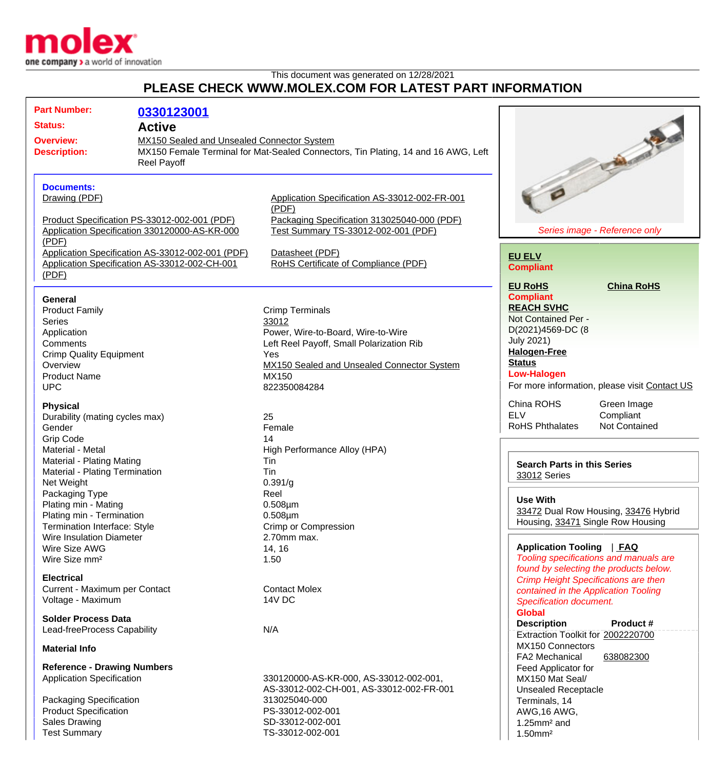

## This document was generated on 12/28/2021 **PLEASE CHECK WWW.MOLEX.COM FOR LATEST PART INFORMATION**

| <b>Part Number:</b>                                                                                                                                                                                                                 | 0330123001                                                                                    |                                                                                                                        |                                                                                                                                  |
|-------------------------------------------------------------------------------------------------------------------------------------------------------------------------------------------------------------------------------------|-----------------------------------------------------------------------------------------------|------------------------------------------------------------------------------------------------------------------------|----------------------------------------------------------------------------------------------------------------------------------|
| <b>Status:</b><br><b>Active</b><br><b>Overview:</b><br>MX150 Sealed and Unsealed Connector System<br>MX150 Female Terminal for Mat-Sealed Connectors, Tin Plating, 14 and 16 AWG, Left<br><b>Description:</b><br><b>Reel Payoff</b> |                                                                                               |                                                                                                                        |                                                                                                                                  |
|                                                                                                                                                                                                                                     |                                                                                               |                                                                                                                        | <b>Call of the Contract</b>                                                                                                      |
| <b>Documents:</b><br>Drawing (PDF)                                                                                                                                                                                                  |                                                                                               | Application Specification AS-33012-002-FR-001<br>(PDF)                                                                 |                                                                                                                                  |
| (PDF)                                                                                                                                                                                                                               | Product Specification PS-33012-002-001 (PDF)<br>Application Specification 330120000-AS-KR-000 | Packaging Specification 313025040-000 (PDF)<br>Test Summary TS-33012-002-001 (PDF)                                     | Series image - Reference only                                                                                                    |
| Application Specification AS-33012-002-001 (PDF)<br>Application Specification AS-33012-002-CH-001<br>(PDF)                                                                                                                          |                                                                                               | Datasheet (PDF)<br>RoHS Certificate of Compliance (PDF)                                                                | <b>EU ELV</b><br><b>Compliant</b>                                                                                                |
| <b>General</b><br><b>Product Family</b><br><b>Series</b><br>Application                                                                                                                                                             |                                                                                               | <b>Crimp Terminals</b><br>33012<br>Power, Wire-to-Board, Wire-to-Wire                                                  | <b>EU RoHS</b><br><b>China RoHS</b><br><b>Compliant</b><br><b>REACH SVHC</b><br>Not Contained Per -<br>D(2021)4569-DC (8         |
| Comments<br><b>Crimp Quality Equipment</b><br>Overview<br><b>Product Name</b><br><b>UPC</b>                                                                                                                                         |                                                                                               | Left Reel Payoff, Small Polarization Rib<br>Yes<br>MX150 Sealed and Unsealed Connector System<br>MX150<br>822350084284 | <b>July 2021)</b><br><b>Halogen-Free</b><br><b>Status</b><br><b>Low-Halogen</b><br>For more information, please visit Contact US |
| <b>Physical</b><br>Durability (mating cycles max)<br>Gender<br><b>Grip Code</b>                                                                                                                                                     |                                                                                               | 25<br>Female<br>14                                                                                                     | China ROHS<br>Green Image<br><b>ELV</b><br>Compliant<br><b>RoHS Phthalates</b><br>Not Contained                                  |
| Material - Metal<br>Material - Plating Mating<br>Material - Plating Termination<br>Net Weight                                                                                                                                       |                                                                                               | High Performance Alloy (HPA)<br>Tin<br>Tin<br>0.391/g                                                                  | <b>Search Parts in this Series</b><br>33012 Series                                                                               |
| Packaging Type<br>Plating min - Mating<br>Plating min - Termination<br><b>Termination Interface: Style</b>                                                                                                                          |                                                                                               | Reel<br>$0.508 \mu m$<br>$0.508 \mu m$<br>Crimp or Compression                                                         | <b>Use With</b><br>33472 Dual Row Housing, 33476 Hybrid<br>Housing, 33471 Single Row Housing                                     |
| <b>Wire Insulation Diameter</b><br>Wire Size AWG<br>Wire Size mm <sup>2</sup>                                                                                                                                                       |                                                                                               | 2.70mm max.<br>14, 16<br>1.50                                                                                          | Application Tooling   FAQ<br>Tooling specifications and manuals are<br>found by selecting the products below.                    |
| <b>Electrical</b><br>Current - Maximum per Contact<br>Voltage - Maximum                                                                                                                                                             |                                                                                               | <b>Contact Molex</b><br>14V DC                                                                                         | <b>Crimp Height Specifications are then</b><br>contained in the Application Tooling<br><b>Specification document.</b>            |
| <b>Solder Process Data</b><br>Lead-freeProcess Capability                                                                                                                                                                           |                                                                                               | N/A                                                                                                                    | <b>Global</b><br><b>Description</b><br>Product #<br>Extraction Toolkit for 2002220700                                            |
| <b>Material Info</b>                                                                                                                                                                                                                |                                                                                               |                                                                                                                        | MX150 Connectors<br>FA2 Mechanical<br>638082300                                                                                  |
| <b>Reference - Drawing Numbers</b><br><b>Application Specification</b>                                                                                                                                                              |                                                                                               | 330120000-AS-KR-000, AS-33012-002-001,<br>AS-33012-002-CH-001, AS-33012-002-FR-001                                     | Feed Applicator for<br>MX150 Mat Seal/<br><b>Unsealed Receptacle</b>                                                             |
| Packaging Specification<br><b>Product Specification</b><br><b>Sales Drawing</b><br><b>Test Summary</b>                                                                                                                              |                                                                                               | 313025040-000<br>PS-33012-002-001<br>SD-33012-002-001<br>TS-33012-002-001                                              | Terminals, 14<br>AWG, 16 AWG,<br>$1.25$ mm <sup>2</sup> and<br>$1.50$ mm <sup>2</sup>                                            |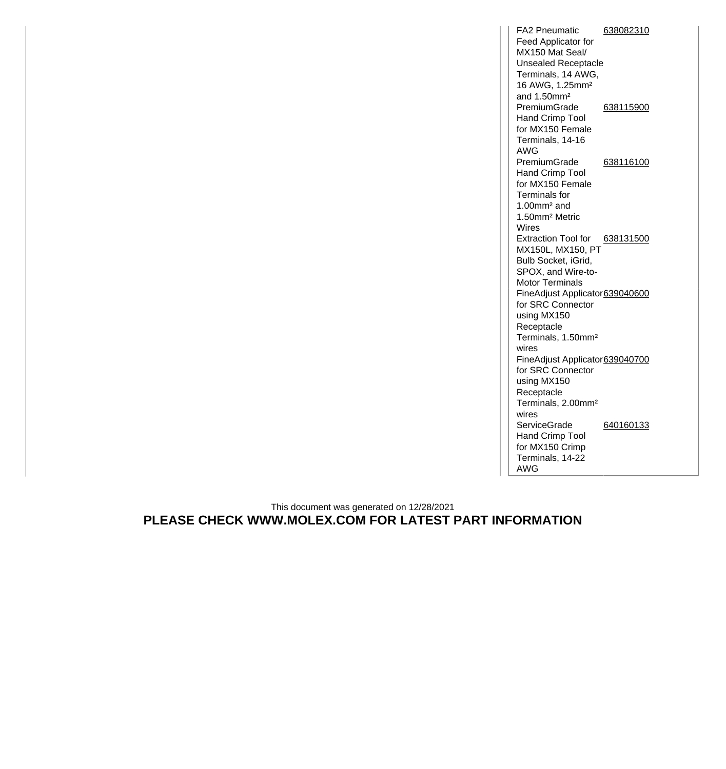FA2 Pneumatic Feed Applicator for MX150 Mat Seal/ Unsealed Receptacle Terminals, 14 AWG, 16 AWG, 1.25mm² and 1.50mm² [638082310](http://www.molex.com/molex/products/datasheet.jsp?part=active/0638082310_APPLICATION_TOOLIN.xml) PremiumGrade Hand Crimp Tool for MX150 Female Terminals, 14-16 AWG [638115900](http://www.molex.com/molex/products/datasheet.jsp?part=active/0638115900_APPLICATION_TOOLIN.xml) PremiumGrade Hand Crimp Tool for MX150 Female Terminals for 1.00mm² and 1.50mm² Metric Wires [638116100](http://www.molex.com/molex/products/datasheet.jsp?part=active/0638116100_APPLICATION_TOOLIN.xml) Extraction Tool for [638131500](http://www.molex.com/molex/products/datasheet.jsp?part=active/0638131500_APPLICATION_TOOLIN.xml) MX150L, MX150, PT Bulb Socket, iGrid, SPOX, and Wire-to-Motor Terminals FineAdjust Applicator [639040600](http://www.molex.com/molex/products/datasheet.jsp?part=active/0639040600_APPLICATION_TOOLIN.xml) for SRC Connector using MX150 Receptacle Terminals, 1.50mm² wires FineAdjust Applicator [639040700](http://www.molex.com/molex/products/datasheet.jsp?part=active/0639040700_APPLICATION_TOOLIN.xml) for SRC Connector using MX150 Receptacle Terminals, 2.00mm² wires **ServiceGrade** Hand Crimp Tool for MX150 Crimp Terminals, 14-22 AWG [640160133](http://www.molex.com/molex/products/datasheet.jsp?part=active/0640160133_APPLICATION_TOOLIN.xml)

## This document was generated on 12/28/2021 **PLEASE CHECK WWW.MOLEX.COM FOR LATEST PART INFORMATION**